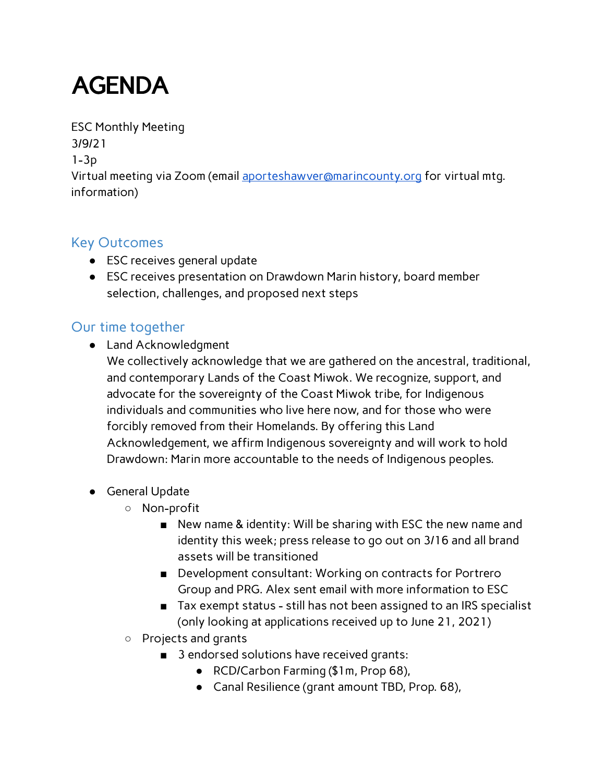## AGENDA

ESC Monthly Meeting 3/9/21 1-3p Virtual meeting via Zoom (email [aporteshawver@marincounty.org](mailto:aporteshawver@marincounty.org) for virtual mtg. information)

## Key Outcomes

- ESC receives general update
- ESC receives presentation on Drawdown Marin history, board member selection, challenges, and proposed next steps

## Our time together

- Land Acknowledgment
	- We collectively acknowledge that we are gathered on the ancestral, traditional, and contemporary Lands of the Coast Miwok. We recognize, support, and advocate for the sovereignty of the Coast Miwok tribe, for Indigenous individuals and communities who live here now, and for those who were forcibly removed from their Homelands. By offering this Land Acknowledgement, we affirm Indigenous sovereignty and will work to hold Drawdown: Marin more accountable to the needs of Indigenous peoples.
- General Update
	- Non-profit
		- New name & identity: Will be sharing with ESC the new name and identity this week; press release to go out on 3/16 and all brand assets will be transitioned
		- Development consultant: Working on contracts for Portrero Group and PRG. Alex sent email with more information to ESC
		- Tax exempt status still has not been assigned to an IRS specialist (only looking at applications received up to June 21, 2021)
	- Projects and grants
		- 3 endorsed solutions have received grants:
			- RCD/Carbon Farming (\$1m, Prop 68),
			- Canal Resilience (grant amount TBD, Prop. 68),